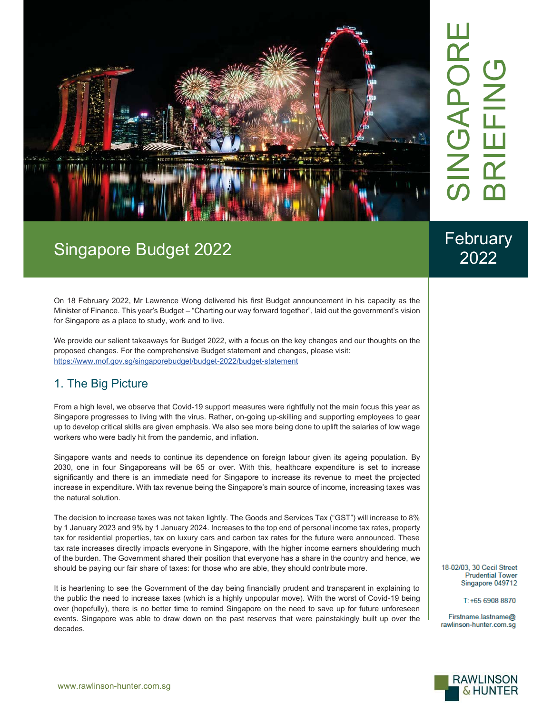

# SINGAPORE **IGAPORE**<br>IEFING BRIEFING

# Singapore Budget 2022

# **February** 2022

On 18 February 2022, Mr Lawrence Wong delivered his first Budget announcement in his capacity as the Minister of Finance. This year's Budget – "Charting our way forward together", laid out the government's vision for Singapore as a place to study, work and to live.

We provide our salient takeaways for Budget 2022, with a focus on the key changes and our thoughts on the proposed changes. For the comprehensive Budget statement and changes, please visit: https://www.mof.gov.sg/singaporebudget/budget-2022/budget-statement

# 1. The Big Picture

From a high level, we observe that Covid-19 support measures were rightfully not the main focus this year as Singapore progresses to living with the virus. Rather, on-going up-skilling and supporting employees to gear up to develop critical skills are given emphasis. We also see more being done to uplift the salaries of low wage workers who were badly hit from the pandemic, and inflation.

Singapore wants and needs to continue its dependence on foreign labour given its ageing population. By 2030, one in four Singaporeans will be 65 or over. With this, healthcare expenditure is set to increase significantly and there is an immediate need for Singapore to increase its revenue to meet the projected increase in expenditure. With tax revenue being the Singapore's main source of income, increasing taxes was the natural solution.

The decision to increase taxes was not taken lightly. The Goods and Services Tax ("GST") will increase to 8% by 1 January 2023 and 9% by 1 January 2024. Increases to the top end of personal income tax rates, property tax for residential properties, tax on luxury cars and carbon tax rates for the future were announced. These tax rate increases directly impacts everyone in Singapore, with the higher income earners shouldering much of the burden. The Government shared their position that everyone has a share in the country and hence, we should be paying our fair share of taxes: for those who are able, they should contribute more.

It is heartening to see the Government of the day being financially prudent and transparent in explaining to the public the need to increase taxes (which is a highly unpopular move). With the worst of Covid-19 being over (hopefully), there is no better time to remind Singapore on the need to save up for future unforeseen events. Singapore was able to draw down on the past reserves that were painstakingly built up over the decades.

18-02/03, 30 Cecil Street **Prudential Tower** Singapore 049712

T: +65 6908 8870

Firstname.lastname@ rawlinson-hunter.com.sg

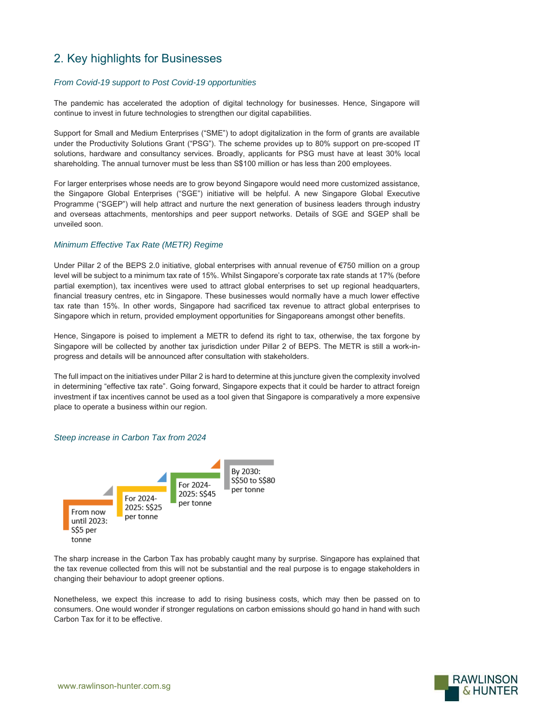# 2. Key highlights for Businesses

#### *From Covid-19 support to Post Covid-19 opportunities*

The pandemic has accelerated the adoption of digital technology for businesses. Hence, Singapore will continue to invest in future technologies to strengthen our digital capabilities.

Support for Small and Medium Enterprises ("SME") to adopt digitalization in the form of grants are available under the Productivity Solutions Grant ("PSG"). The scheme provides up to 80% support on pre-scoped IT solutions, hardware and consultancy services. Broadly, applicants for PSG must have at least 30% local shareholding. The annual turnover must be less than S\$100 million or has less than 200 employees.

For larger enterprises whose needs are to grow beyond Singapore would need more customized assistance, the Singapore Global Enterprises ("SGE") initiative will be helpful. A new Singapore Global Executive Programme ("SGEP") will help attract and nurture the next generation of business leaders through industry and overseas attachments, mentorships and peer support networks. Details of SGE and SGEP shall be unveiled soon.

#### *Minimum Effective Tax Rate (METR) Regime*

Under Pillar 2 of the BEPS 2.0 initiative, global enterprises with annual revenue of €750 million on a group level will be subject to a minimum tax rate of 15%. Whilst Singapore's corporate tax rate stands at 17% (before partial exemption), tax incentives were used to attract global enterprises to set up regional headquarters, financial treasury centres, etc in Singapore. These businesses would normally have a much lower effective tax rate than 15%. In other words, Singapore had sacrificed tax revenue to attract global enterprises to Singapore which in return, provided employment opportunities for Singaporeans amongst other benefits.

Hence, Singapore is poised to implement a METR to defend its right to tax, otherwise, the tax forgone by Singapore will be collected by another tax jurisdiction under Pillar 2 of BEPS. The METR is still a work-inprogress and details will be announced after consultation with stakeholders.

The full impact on the initiatives under Pillar 2 is hard to determine at this juncture given the complexity involved in determining "effective tax rate". Going forward, Singapore expects that it could be harder to attract foreign investment if tax incentives cannot be used as a tool given that Singapore is comparatively a more expensive place to operate a business within our region.

#### *Steep increase in Carbon Tax from 2024*



The sharp increase in the Carbon Tax has probably caught many by surprise. Singapore has explained that the tax revenue collected from this will not be substantial and the real purpose is to engage stakeholders in changing their behaviour to adopt greener options.

Nonetheless, we expect this increase to add to rising business costs, which may then be passed on to consumers. One would wonder if stronger regulations on carbon emissions should go hand in hand with such Carbon Tax for it to be effective.

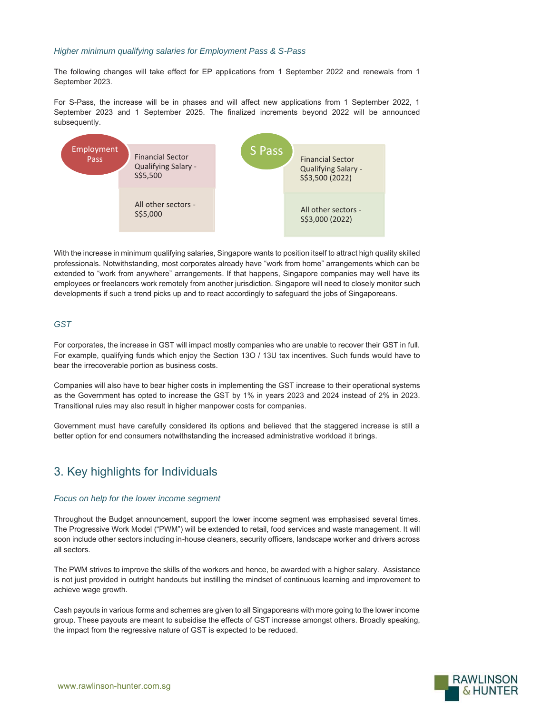#### *Higher minimum qualifying salaries for Employment Pass & S-Pass*

The following changes will take effect for EP applications from 1 September 2022 and renewals from 1 September 2023.

For S-Pass, the increase will be in phases and will affect new applications from 1 September 2022, 1 September 2023 and 1 September 2025. The finalized increments beyond 2022 will be announced subsequently.



With the increase in minimum qualifying salaries, Singapore wants to position itself to attract high quality skilled professionals. Notwithstanding, most corporates already have "work from home" arrangements which can be extended to "work from anywhere" arrangements. If that happens, Singapore companies may well have its employees or freelancers work remotely from another jurisdiction. Singapore will need to closely monitor such developments if such a trend picks up and to react accordingly to safeguard the jobs of Singaporeans.

#### *GST*

For corporates, the increase in GST will impact mostly companies who are unable to recover their GST in full. For example, qualifying funds which enjoy the Section 13O / 13U tax incentives. Such funds would have to bear the irrecoverable portion as business costs.

Companies will also have to bear higher costs in implementing the GST increase to their operational systems as the Government has opted to increase the GST by 1% in years 2023 and 2024 instead of 2% in 2023. Transitional rules may also result in higher manpower costs for companies.

Government must have carefully considered its options and believed that the staggered increase is still a better option for end consumers notwithstanding the increased administrative workload it brings.

## 3. Key highlights for Individuals

#### *Focus on help for the lower income segment*

Throughout the Budget announcement, support the lower income segment was emphasised several times. The Progressive Work Model ("PWM") will be extended to retail, food services and waste management. It will soon include other sectors including in-house cleaners, security officers, landscape worker and drivers across all sectors.

The PWM strives to improve the skills of the workers and hence, be awarded with a higher salary. Assistance is not just provided in outright handouts but instilling the mindset of continuous learning and improvement to achieve wage growth.

Cash payouts in various forms and schemes are given to all Singaporeans with more going to the lower income group. These payouts are meant to subsidise the effects of GST increase amongst others. Broadly speaking, the impact from the regressive nature of GST is expected to be reduced.

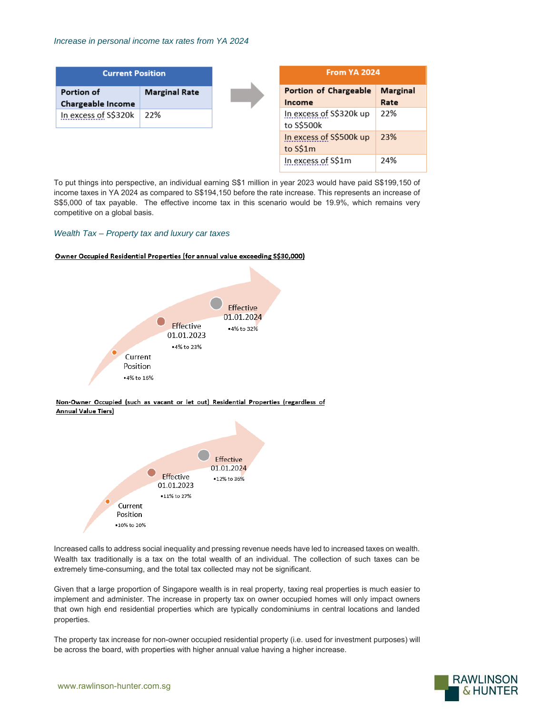#### *Increase in personal income tax rates from YA 2024*

| <b>Current Position</b>  |                      | <b>From YA 2024</b>                   |                 |
|--------------------------|----------------------|---------------------------------------|-----------------|
| Portion of               | <b>Marginal Rate</b> | Portion of Chargeable                 | <b>Marginal</b> |
| <b>Chargeable Income</b> |                      | Income                                | Rate            |
| In excess of S\$320k     | 22%                  | In excess of S\$320k up<br>to S\$500k | 22%             |
|                          |                      | In excess of S\$500k up<br>to S\$1m   | 23%             |
|                          |                      | In excess of S\$1m                    | 24%             |

To put things into perspective, an individual earning S\$1 million in year 2023 would have paid S\$199,150 of income taxes in YA 2024 as compared to S\$194,150 before the rate increase. This represents an increase of S\$5,000 of tax payable. The effective income tax in this scenario would be 19.9%, which remains very competitive on a global basis.

#### *Wealth Tax – Property tax and luxury car taxes*

#### Owner Occupied Residential Properties (for annual value exceeding S\$30,000)



#### Non-Owner Occupied (such as vacant or let out) Residential Properties (regardless of **Annual Value Tiers)**



Increased calls to address social inequality and pressing revenue needs have led to increased taxes on wealth. Wealth tax traditionally is a tax on the total wealth of an individual. The collection of such taxes can be extremely time-consuming, and the total tax collected may not be significant.

Given that a large proportion of Singapore wealth is in real property, taxing real properties is much easier to implement and administer. The increase in property tax on owner occupied homes will only impact owners that own high end residential properties which are typically condominiums in central locations and landed properties.

The property tax increase for non-owner occupied residential property (i.e. used for investment purposes) will be across the board, with properties with higher annual value having a higher increase.

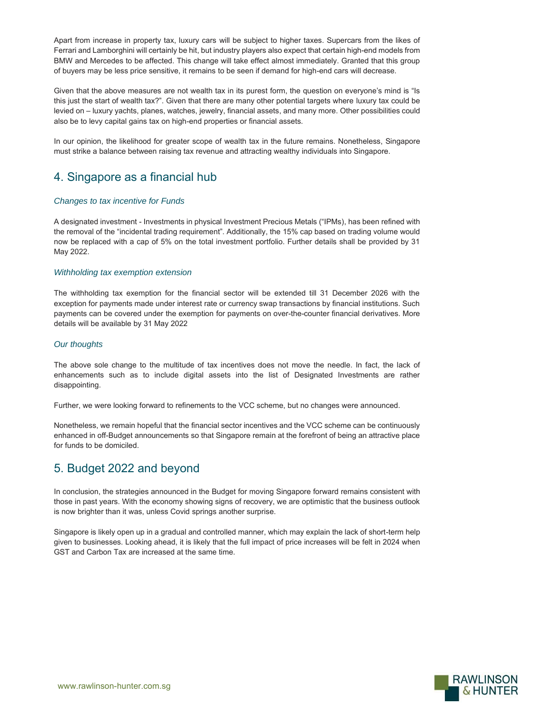Apart from increase in property tax, luxury cars will be subject to higher taxes. Supercars from the likes of Ferrari and Lamborghini will certainly be hit, but industry players also expect that certain high-end models from BMW and Mercedes to be affected. This change will take effect almost immediately. Granted that this group of buyers may be less price sensitive, it remains to be seen if demand for high-end cars will decrease.

Given that the above measures are not wealth tax in its purest form, the question on everyone's mind is "Is this just the start of wealth tax?". Given that there are many other potential targets where luxury tax could be levied on – luxury yachts, planes, watches, jewelry, financial assets, and many more. Other possibilities could also be to levy capital gains tax on high-end properties or financial assets.

In our opinion, the likelihood for greater scope of wealth tax in the future remains. Nonetheless, Singapore must strike a balance between raising tax revenue and attracting wealthy individuals into Singapore.

## 4. Singapore as a financial hub

#### *Changes to tax incentive for Funds*

A designated investment - Investments in physical Investment Precious Metals ("IPMs), has been refined with the removal of the "incidental trading requirement". Additionally, the 15% cap based on trading volume would now be replaced with a cap of 5% on the total investment portfolio. Further details shall be provided by 31 May 2022.

#### *Withholding tax exemption extension*

The withholding tax exemption for the financial sector will be extended till 31 December 2026 with the exception for payments made under interest rate or currency swap transactions by financial institutions. Such payments can be covered under the exemption for payments on over-the-counter financial derivatives. More details will be available by 31 May 2022

#### *Our thoughts*

The above sole change to the multitude of tax incentives does not move the needle. In fact, the lack of enhancements such as to include digital assets into the list of Designated Investments are rather disappointing.

Further, we were looking forward to refinements to the VCC scheme, but no changes were announced.

Nonetheless, we remain hopeful that the financial sector incentives and the VCC scheme can be continuously enhanced in off-Budget announcements so that Singapore remain at the forefront of being an attractive place for funds to be domiciled.

### 5. Budget 2022 and beyond

In conclusion, the strategies announced in the Budget for moving Singapore forward remains consistent with those in past years. With the economy showing signs of recovery, we are optimistic that the business outlook is now brighter than it was, unless Covid springs another surprise.

Singapore is likely open up in a gradual and controlled manner, which may explain the lack of short-term help given to businesses. Looking ahead, it is likely that the full impact of price increases will be felt in 2024 when GST and Carbon Tax are increased at the same time.